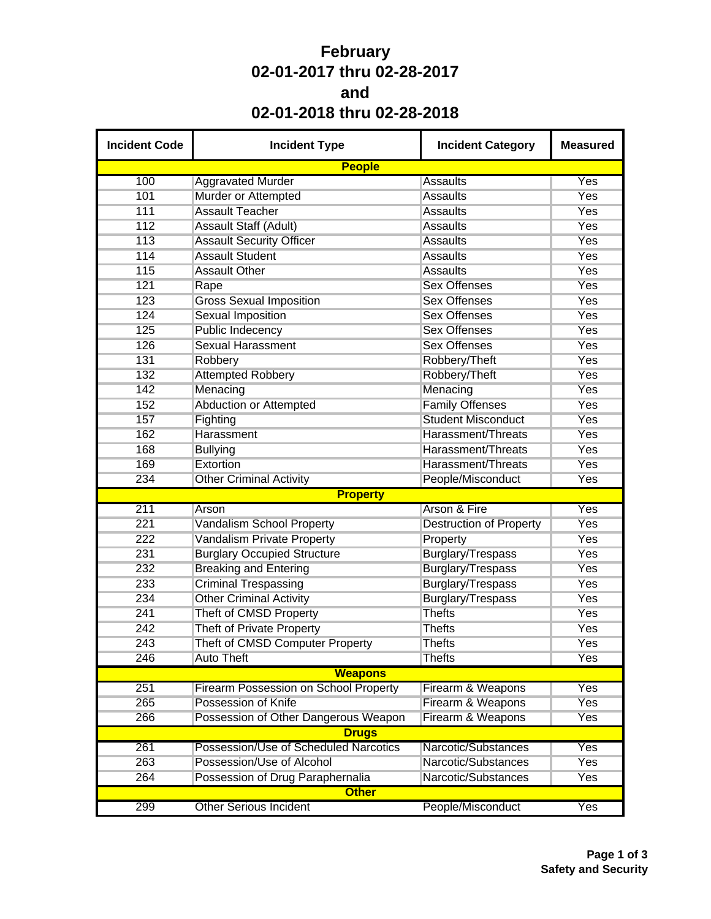## **February 02-01-2017 thru 02-28-2017 and 02-01-2018 thru 02-28-2018**

| <b>Incident Code</b> | <b>Incident Type</b>                         | <b>Incident Category</b>       | <b>Measured</b> |  |  |  |  |  |  |  |
|----------------------|----------------------------------------------|--------------------------------|-----------------|--|--|--|--|--|--|--|
|                      | <b>People</b>                                |                                |                 |  |  |  |  |  |  |  |
| 100                  | <b>Aggravated Murder</b>                     | <b>Assaults</b>                | Yes             |  |  |  |  |  |  |  |
| 101                  | Murder or Attempted                          | <b>Assaults</b>                | Yes             |  |  |  |  |  |  |  |
| 111                  | <b>Assault Teacher</b>                       | <b>Assaults</b>                | Yes             |  |  |  |  |  |  |  |
| 112                  | Assault Staff (Adult)                        | <b>Assaults</b>                | Yes             |  |  |  |  |  |  |  |
| 113                  | <b>Assault Security Officer</b>              | <b>Assaults</b>                | Yes             |  |  |  |  |  |  |  |
| 114                  | <b>Assault Student</b>                       | <b>Assaults</b>                | <b>Yes</b>      |  |  |  |  |  |  |  |
| 115                  | <b>Assault Other</b>                         | <b>Assaults</b>                | Yes             |  |  |  |  |  |  |  |
| 121                  | Rape                                         | <b>Sex Offenses</b>            | Yes             |  |  |  |  |  |  |  |
| 123                  | <b>Gross Sexual Imposition</b>               | <b>Sex Offenses</b>            | Yes             |  |  |  |  |  |  |  |
| 124                  | <b>Sexual Imposition</b>                     | <b>Sex Offenses</b>            | Yes             |  |  |  |  |  |  |  |
| 125                  | <b>Public Indecency</b>                      | <b>Sex Offenses</b>            | Yes             |  |  |  |  |  |  |  |
| 126                  | <b>Sexual Harassment</b>                     | <b>Sex Offenses</b>            | Yes             |  |  |  |  |  |  |  |
| 131                  | Robbery                                      | Robbery/Theft                  | Yes             |  |  |  |  |  |  |  |
| 132                  | <b>Attempted Robbery</b>                     | Robbery/Theft                  | Yes             |  |  |  |  |  |  |  |
| 142                  | Menacing                                     | Menacing                       | Yes             |  |  |  |  |  |  |  |
| 152                  | <b>Abduction or Attempted</b>                | <b>Family Offenses</b>         | Yes             |  |  |  |  |  |  |  |
| 157                  | Fighting                                     | <b>Student Misconduct</b>      | Yes             |  |  |  |  |  |  |  |
| 162                  | Harassment                                   | Harassment/Threats             | Yes             |  |  |  |  |  |  |  |
| 168                  | <b>Bullying</b>                              | Harassment/Threats             | Yes             |  |  |  |  |  |  |  |
| 169                  | Extortion                                    | Harassment/Threats             | Yes             |  |  |  |  |  |  |  |
| 234                  | <b>Other Criminal Activity</b>               | People/Misconduct              | Yes             |  |  |  |  |  |  |  |
|                      | <b>Property</b>                              |                                |                 |  |  |  |  |  |  |  |
| 211                  | Arson                                        | Arson & Fire                   | Yes             |  |  |  |  |  |  |  |
| 221                  | Vandalism School Property                    | <b>Destruction of Property</b> | Yes             |  |  |  |  |  |  |  |
| 222                  | <b>Vandalism Private Property</b>            | Property                       | Yes             |  |  |  |  |  |  |  |
| 231                  | <b>Burglary Occupied Structure</b>           | <b>Burglary/Trespass</b>       | Yes             |  |  |  |  |  |  |  |
| 232                  | <b>Breaking and Entering</b>                 | Burglary/Trespass              | Yes             |  |  |  |  |  |  |  |
| 233                  | <b>Criminal Trespassing</b>                  | Burglary/Trespass              | Yes             |  |  |  |  |  |  |  |
| 234                  | <b>Other Criminal Activity</b>               | Burglary/Trespass              | Yes             |  |  |  |  |  |  |  |
| 241                  | Theft of CMSD Property                       | <b>Thefts</b>                  | Yes             |  |  |  |  |  |  |  |
| 242                  | <b>Theft of Private Property</b>             | <b>Thefts</b>                  | Yes             |  |  |  |  |  |  |  |
| 243                  | Theft of CMSD Computer Property              | <b>Thefts</b>                  | Yes             |  |  |  |  |  |  |  |
| 246                  | <b>Auto Theft</b>                            | <b>Thefts</b>                  | Yes             |  |  |  |  |  |  |  |
| <b>Weapons</b>       |                                              |                                |                 |  |  |  |  |  |  |  |
| 251                  | <b>Firearm Possession on School Property</b> | Firearm & Weapons              | Yes             |  |  |  |  |  |  |  |
| 265                  | Possession of Knife                          | Firearm & Weapons              | <b>Yes</b>      |  |  |  |  |  |  |  |
| 266                  | Possession of Other Dangerous Weapon         | Firearm & Weapons              | Yes             |  |  |  |  |  |  |  |
|                      | <b>Drugs</b>                                 |                                |                 |  |  |  |  |  |  |  |
| 261                  | Possession/Use of Scheduled Narcotics        | Narcotic/Substances            | Yes             |  |  |  |  |  |  |  |
| 263                  | Possession/Use of Alcohol                    | Narcotic/Substances            | Yes             |  |  |  |  |  |  |  |
| 264                  | Possession of Drug Paraphernalia             | Narcotic/Substances            | Yes             |  |  |  |  |  |  |  |
|                      | <b>Other</b>                                 |                                |                 |  |  |  |  |  |  |  |
| 299                  | <b>Other Serious Incident</b>                | People/Misconduct              | Yes             |  |  |  |  |  |  |  |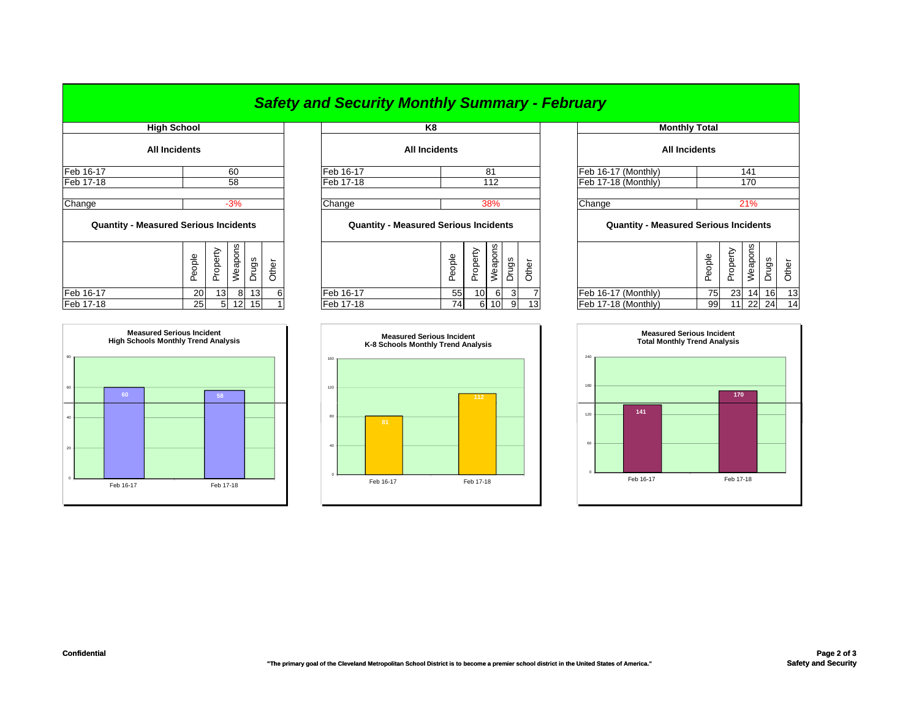|                                              |                      |        |          |         |       |       | <b>Safety and Security Monthly Summary - February</b> |                                              |        |          |                      |                     |                 |                      |                                              |        |          |         |       |       |
|----------------------------------------------|----------------------|--------|----------|---------|-------|-------|-------------------------------------------------------|----------------------------------------------|--------|----------|----------------------|---------------------|-----------------|----------------------|----------------------------------------------|--------|----------|---------|-------|-------|
| <b>High School</b>                           |                      |        |          | K8      |       |       |                                                       |                                              |        |          | <b>Monthly Total</b> |                     |                 |                      |                                              |        |          |         |       |       |
|                                              | <b>All Incidents</b> |        |          |         |       |       |                                                       | <b>All Incidents</b>                         |        |          |                      |                     |                 | <b>All Incidents</b> |                                              |        |          |         |       |       |
| Feb 16-17                                    |                      |        |          | 60      |       |       | Feb 16-17                                             |                                              |        |          | 81                   |                     |                 |                      | Feb 16-17 (Monthly)                          |        |          | 141     |       |       |
| Feb 17-18                                    |                      |        |          | 58      |       |       | Feb 17-18                                             |                                              | 112    |          |                      | Feb 17-18 (Monthly) |                 |                      | 170                                          |        |          |         |       |       |
| Change                                       |                      |        |          | $-3%$   |       |       | Change                                                |                                              |        |          | 38%                  |                     |                 |                      | Change                                       |        |          | 21%     |       |       |
| <b>Quantity - Measured Serious Incidents</b> |                      |        |          |         |       |       |                                                       | <b>Quantity - Measured Serious Incidents</b> |        |          |                      |                     |                 |                      | <b>Quantity - Measured Serious Incidents</b> |        |          |         |       |       |
|                                              |                      | People | Property | Weapons | Drugs | Other |                                                       |                                              | People | Property | Weapons              | Drugs               | Other           |                      |                                              | People | Property | Weapons | Drugs | Other |
| Feb 16-17                                    |                      | 20     | 13       | 8       | 13    | 6     | Feb 16-17                                             |                                              | 55     | 10       | 6                    | 3                   |                 |                      | Feb 16-17 (Monthly)                          | 75     | 23       | 14      | 16    | 13    |
| Feb 17-18                                    |                      | 25     | 51       | 12      | 15    |       | Feb 17-18                                             |                                              | 74     | 61       | 10 <sup>1</sup>      | 9                   | 13 <sub>1</sub> |                      | Feb 17-18 (Monthly)                          | 99     | 11       | 22      | 24    | 14    |



|          | <b>Measured Serious Incident</b><br>K-8 Schools Monthly Trend Analysis |           |     |           |  |  |  |  |  |  |  |
|----------|------------------------------------------------------------------------|-----------|-----|-----------|--|--|--|--|--|--|--|
| 160      |                                                                        |           |     |           |  |  |  |  |  |  |  |
| 120      |                                                                        |           |     |           |  |  |  |  |  |  |  |
| 80       |                                                                        |           | 112 |           |  |  |  |  |  |  |  |
|          |                                                                        | 81        |     |           |  |  |  |  |  |  |  |
| 40       |                                                                        |           |     |           |  |  |  |  |  |  |  |
| $\Omega$ |                                                                        | Feb 16-17 |     | Feb 17-18 |  |  |  |  |  |  |  |

| <b>MONTALY LOTAL</b>                         |        |          |         |       |       |  |  |  |  |  |  |
|----------------------------------------------|--------|----------|---------|-------|-------|--|--|--|--|--|--|
| <b>All Incidents</b>                         |        |          |         |       |       |  |  |  |  |  |  |
| Feb 16-17 (Monthly)                          |        |          | 141     |       |       |  |  |  |  |  |  |
| Feb 17-18 (Monthly)                          |        |          | 170     |       |       |  |  |  |  |  |  |
| Change                                       |        | 21%      |         |       |       |  |  |  |  |  |  |
| <b>Quantity - Measured Serious Incidents</b> |        |          |         |       |       |  |  |  |  |  |  |
|                                              | People | Property | Weapons | Drugs | Other |  |  |  |  |  |  |
| Feb 16-17 (Monthly)                          | 75     | 23       | 14      | 16    | 13    |  |  |  |  |  |  |
| Feb 17-18 (Monthly)                          | 99     | 11       | 22      | 24    | 14    |  |  |  |  |  |  |